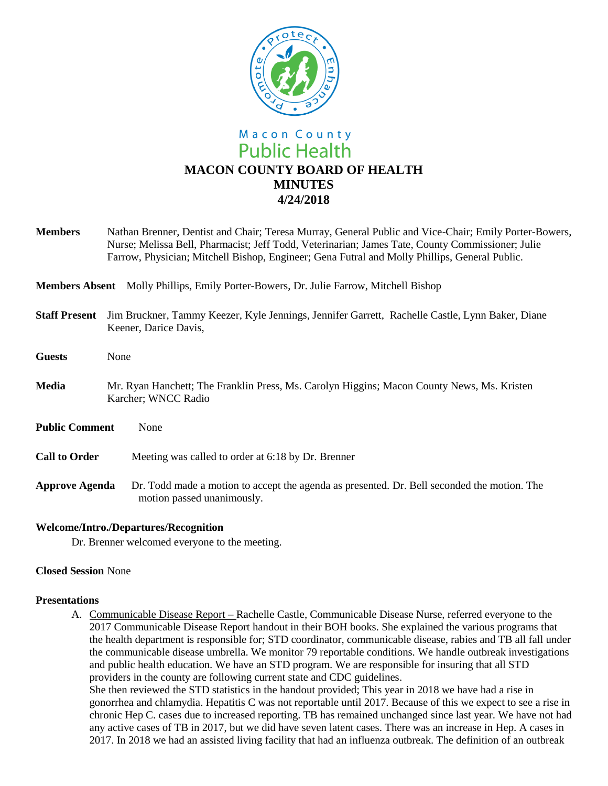

**Members** Nathan Brenner, Dentist and Chair; Teresa Murray, General Public and Vice-Chair; Emily Porter-Bowers, Nurse; Melissa Bell, Pharmacist; Jeff Todd, Veterinarian; James Tate, County Commissioner; Julie Farrow, Physician; Mitchell Bishop, Engineer; Gena Futral and Molly Phillips, General Public.

**Members Absent** Molly Phillips, Emily Porter-Bowers, Dr. Julie Farrow, Mitchell Bishop

- **Staff Present** Jim Bruckner, Tammy Keezer, Kyle Jennings, Jennifer Garrett, Rachelle Castle, Lynn Baker, Diane Keener, Darice Davis,
- **Guests** None
- **Media** Mr. Ryan Hanchett; The Franklin Press, Ms. Carolyn Higgins; Macon County News, Ms. Kristen Karcher; WNCC Radio
- **Public Comment** None
- **Call to Order** Meeting was called to order at 6:18 by Dr. Brenner
- **Approve Agenda** Dr. Todd made a motion to accept the agenda as presented. Dr. Bell seconded the motion. The motion passed unanimously.

### **Welcome/Intro./Departures/Recognition**

Dr. Brenner welcomed everyone to the meeting.

# **Closed Session** None

#### **Presentations**

A. Communicable Disease Report – Rachelle Castle, Communicable Disease Nurse, referred everyone to the 2017 Communicable Disease Report handout in their BOH books. She explained the various programs that the health department is responsible for; STD coordinator, communicable disease, rabies and TB all fall under the communicable disease umbrella. We monitor 79 reportable conditions. We handle outbreak investigations and public health education. We have an STD program. We are responsible for insuring that all STD providers in the county are following current state and CDC guidelines. She then reviewed the STD statistics in the handout provided; This year in 2018 we have had a rise in

gonorrhea and chlamydia. Hepatitis C was not reportable until 2017. Because of this we expect to see a rise in chronic Hep C. cases due to increased reporting. TB has remained unchanged since last year. We have not had any active cases of TB in 2017, but we did have seven latent cases. There was an increase in Hep. A cases in 2017. In 2018 we had an assisted living facility that had an influenza outbreak. The definition of an outbreak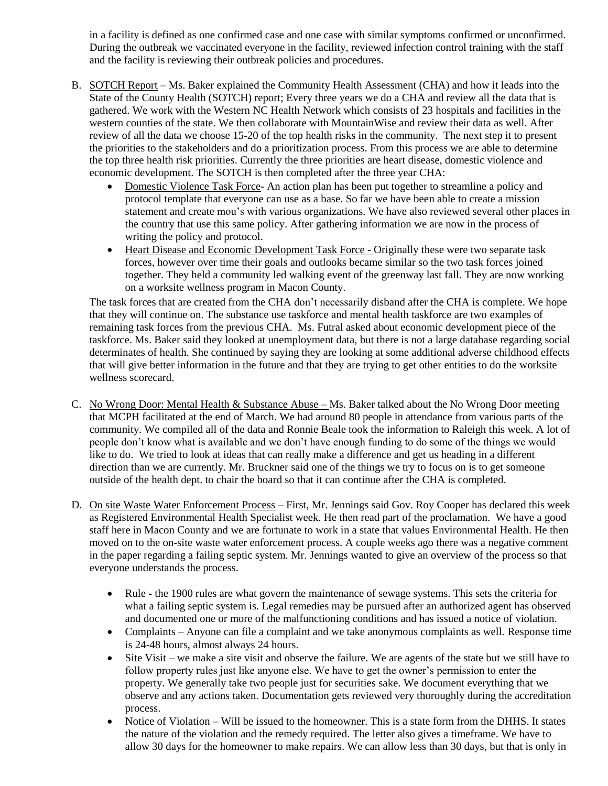in a facility is defined as one confirmed case and one case with similar symptoms confirmed or unconfirmed. During the outbreak we vaccinated everyone in the facility, reviewed infection control training with the staff and the facility is reviewing their outbreak policies and procedures.

- B. SOTCH Report Ms. Baker explained the Community Health Assessment (CHA) and how it leads into the State of the County Health (SOTCH) report; Every three years we do a CHA and review all the data that is gathered. We work with the Western NC Health Network which consists of 23 hospitals and facilities in the western counties of the state. We then collaborate with MountainWise and review their data as well. After review of all the data we choose 15-20 of the top health risks in the community. The next step it to present the priorities to the stakeholders and do a prioritization process. From this process we are able to determine the top three health risk priorities. Currently the three priorities are heart disease, domestic violence and economic development. The SOTCH is then completed after the three year CHA:
	- Domestic Violence Task Force- An action plan has been put together to streamline a policy and protocol template that everyone can use as a base. So far we have been able to create a mission statement and create mou's with various organizations. We have also reviewed several other places in the country that use this same policy. After gathering information we are now in the process of writing the policy and protocol.
	- Heart Disease and Economic Development Task Force Originally these were two separate task forces, however over time their goals and outlooks became similar so the two task forces joined together. They held a community led walking event of the greenway last fall. They are now working on a worksite wellness program in Macon County.

The task forces that are created from the CHA don't necessarily disband after the CHA is complete. We hope that they will continue on. The substance use taskforce and mental health taskforce are two examples of remaining task forces from the previous CHA. Ms. Futral asked about economic development piece of the taskforce. Ms. Baker said they looked at unemployment data, but there is not a large database regarding social determinates of health. She continued by saying they are looking at some additional adverse childhood effects that will give better information in the future and that they are trying to get other entities to do the worksite wellness scorecard.

- C. No Wrong Door: Mental Health & Substance Abuse Ms. Baker talked about the No Wrong Door meeting that MCPH facilitated at the end of March. We had around 80 people in attendance from various parts of the community. We compiled all of the data and Ronnie Beale took the information to Raleigh this week. A lot of people don't know what is available and we don't have enough funding to do some of the things we would like to do. We tried to look at ideas that can really make a difference and get us heading in a different direction than we are currently. Mr. Bruckner said one of the things we try to focus on is to get someone outside of the health dept. to chair the board so that it can continue after the CHA is completed.
- D. On site Waste Water Enforcement Process First, Mr. Jennings said Gov. Roy Cooper has declared this week as Registered Environmental Health Specialist week. He then read part of the proclamation. We have a good staff here in Macon County and we are fortunate to work in a state that values Environmental Health. He then moved on to the on-site waste water enforcement process. A couple weeks ago there was a negative comment in the paper regarding a failing septic system. Mr. Jennings wanted to give an overview of the process so that everyone understands the process.
	- Rule **-** the 1900 rules are what govern the maintenance of sewage systems. This sets the criteria for what a failing septic system is. Legal remedies may be pursued after an authorized agent has observed and documented one or more of the malfunctioning conditions and has issued a notice of violation.
	- Complaints Anyone can file a complaint and we take anonymous complaints as well. Response time is 24-48 hours, almost always 24 hours.
	- Site Visit we make a site visit and observe the failure. We are agents of the state but we still have to follow property rules just like anyone else. We have to get the owner's permission to enter the property. We generally take two people just for securities sake. We document everything that we observe and any actions taken. Documentation gets reviewed very thoroughly during the accreditation process.
	- Notice of Violation Will be issued to the homeowner. This is a state form from the DHHS. It states the nature of the violation and the remedy required. The letter also gives a timeframe. We have to allow 30 days for the homeowner to make repairs. We can allow less than 30 days, but that is only in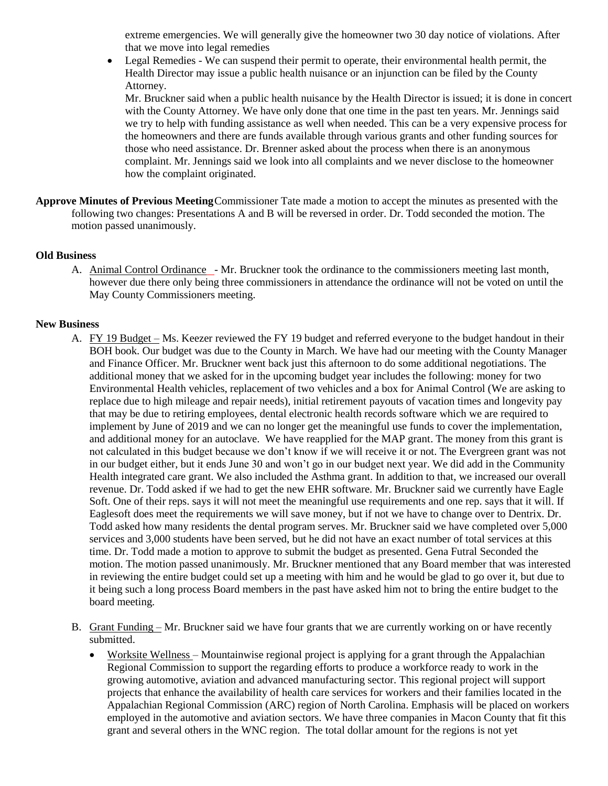extreme emergencies. We will generally give the homeowner two 30 day notice of violations. After that we move into legal remedies

 Legal Remedies - We can suspend their permit to operate, their environmental health permit, the Health Director may issue a public health nuisance or an injunction can be filed by the County Attorney.

Mr. Bruckner said when a public health nuisance by the Health Director is issued; it is done in concert with the County Attorney. We have only done that one time in the past ten years. Mr. Jennings said we try to help with funding assistance as well when needed. This can be a very expensive process for the homeowners and there are funds available through various grants and other funding sources for those who need assistance. Dr. Brenner asked about the process when there is an anonymous complaint. Mr. Jennings said we look into all complaints and we never disclose to the homeowner how the complaint originated.

**Approve Minutes of Previous Meeting**Commissioner Tate made a motion to accept the minutes as presented with the following two changes: Presentations A and B will be reversed in order. Dr. Todd seconded the motion. The motion passed unanimously.

### **Old Business**

A. Animal Control Ordinance - Mr. Bruckner took the ordinance to the commissioners meeting last month, however due there only being three commissioners in attendance the ordinance will not be voted on until the May County Commissioners meeting.

### **New Business**

- A. FY 19 Budget Ms. Keezer reviewed the FY 19 budget and referred everyone to the budget handout in their BOH book. Our budget was due to the County in March. We have had our meeting with the County Manager and Finance Officer. Mr. Bruckner went back just this afternoon to do some additional negotiations. The additional money that we asked for in the upcoming budget year includes the following: money for two Environmental Health vehicles, replacement of two vehicles and a box for Animal Control (We are asking to replace due to high mileage and repair needs), initial retirement payouts of vacation times and longevity pay that may be due to retiring employees, dental electronic health records software which we are required to implement by June of 2019 and we can no longer get the meaningful use funds to cover the implementation, and additional money for an autoclave. We have reapplied for the MAP grant. The money from this grant is not calculated in this budget because we don't know if we will receive it or not. The Evergreen grant was not in our budget either, but it ends June 30 and won't go in our budget next year. We did add in the Community Health integrated care grant. We also included the Asthma grant. In addition to that, we increased our overall revenue. Dr. Todd asked if we had to get the new EHR software. Mr. Bruckner said we currently have Eagle Soft. One of their reps. says it will not meet the meaningful use requirements and one rep. says that it will. If Eaglesoft does meet the requirements we will save money, but if not we have to change over to Dentrix. Dr. Todd asked how many residents the dental program serves. Mr. Bruckner said we have completed over 5,000 services and 3,000 students have been served, but he did not have an exact number of total services at this time. Dr. Todd made a motion to approve to submit the budget as presented. Gena Futral Seconded the motion. The motion passed unanimously. Mr. Bruckner mentioned that any Board member that was interested in reviewing the entire budget could set up a meeting with him and he would be glad to go over it, but due to it being such a long process Board members in the past have asked him not to bring the entire budget to the board meeting.
- B. Grant Funding Mr. Bruckner said we have four grants that we are currently working on or have recently submitted.
	- Worksite Wellness Mountainwise regional project is applying for a grant through the Appalachian Regional Commission to support the regarding efforts to produce a workforce ready to work in the growing automotive, aviation and advanced manufacturing sector. This regional project will support projects that enhance the availability of health care services for workers and their families located in the Appalachian Regional Commission (ARC) region of North Carolina. Emphasis will be placed on workers employed in the automotive and aviation sectors. We have three companies in Macon County that fit this grant and several others in the WNC region. The total dollar amount for the regions is not yet